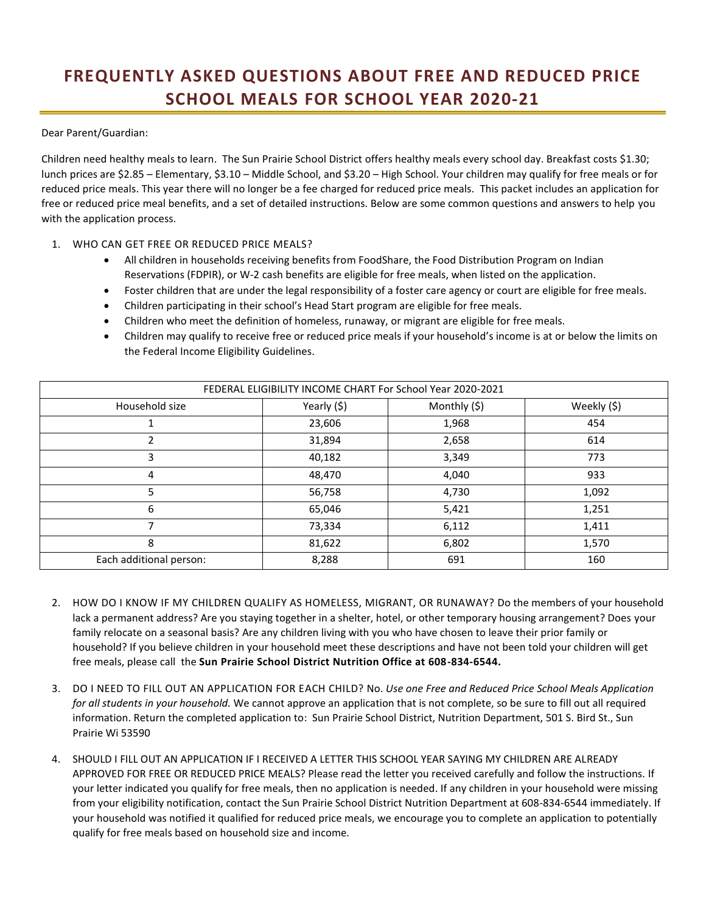## **FREQUENTLY ASKED QUESTIONS ABOUT FREE AND REDUCED PRICE SCHOOL MEALS FOR SCHOOL YEAR 2020-21**

Dear Parent/Guardian:

Children need healthy meals to learn. The Sun Prairie School District offers healthy meals every school day. Breakfast costs \$1.30; lunch prices are \$2.85 – Elementary, \$3.10 – Middle School, and \$3.20 – High School. Your children may qualify for free meals or for reduced price meals. This year there will no longer be a fee charged for reduced price meals. This packet includes an application for free or reduced price meal benefits, and a set of detailed instructions. Below are some common questions and answers to help you with the application process.

## 1. WHO CAN GET FREE OR REDUCED PRICE MEALS?

- All children in households receiving benefits from FoodShare, the Food Distribution Program on Indian Reservations (FDPIR), or W-2 cash benefits are eligible for free meals, when listed on the application.
- Foster children that are under the legal responsibility of a foster care agency or court are eligible for free meals.
- Children participating in their school's Head Start program are eligible for free meals.
- Children who meet the definition of homeless, runaway, or migrant are eligible for free meals.
- Children may qualify to receive free or reduced price meals if your household's income is at or below the limits on the Federal Income Eligibility Guidelines.

| FEDERAL ELIGIBILITY INCOME CHART For School Year 2020-2021 |             |              |             |
|------------------------------------------------------------|-------------|--------------|-------------|
| Household size                                             | Yearly (\$) | Monthly (\$) | Weekly (\$) |
|                                                            | 23,606      | 1,968        | 454         |
|                                                            | 31,894      | 2,658        | 614         |
| 3                                                          | 40,182      | 3,349        | 773         |
| 4                                                          | 48,470      | 4,040        | 933         |
|                                                            | 56,758      | 4,730        | 1,092       |
| 6                                                          | 65,046      | 5,421        | 1,251       |
|                                                            | 73,334      | 6,112        | 1,411       |
| 8                                                          | 81,622      | 6,802        | 1,570       |
| Each additional person:                                    | 8,288       | 691          | 160         |

- 2. HOW DO I KNOW IF MY CHILDREN QUALIFY AS HOMELESS, MIGRANT, OR RUNAWAY? Do the members of your household lack a permanent address? Are you staying together in a shelter, hotel, or other temporary housing arrangement? Does your family relocate on a seasonal basis? Are any children living with you who have chosen to leave their prior family or household? If you believe children in your household meet these descriptions and have not been told your children will get free meals, please call the **Sun Prairie School District Nutrition Office at 608-834-6544.**
- 3. DO I NEED TO FILL OUT AN APPLICATION FOR EACH CHILD? No. *Use one Free and Reduced Price School Meals Application for all students in your household.* We cannot approve an application that is not complete, so be sure to fill out all required information. Return the completed application to: Sun Prairie School District, Nutrition Department, 501 S. Bird St., Sun Prairie Wi 53590
- 4. SHOULD I FILL OUT AN APPLICATION IF I RECEIVED A LETTER THIS SCHOOL YEAR SAYING MY CHILDREN ARE ALREADY APPROVED FOR FREE OR REDUCED PRICE MEALS? Please read the letter you received carefully and follow the instructions. If your letter indicated you qualify for free meals, then no application is needed. If any children in your household were missing from your eligibility notification, contact the Sun Prairie School District Nutrition Department at 608-834-6544 immediately. If your household was notified it qualified for reduced price meals, we encourage you to complete an application to potentially qualify for free meals based on household size and income.